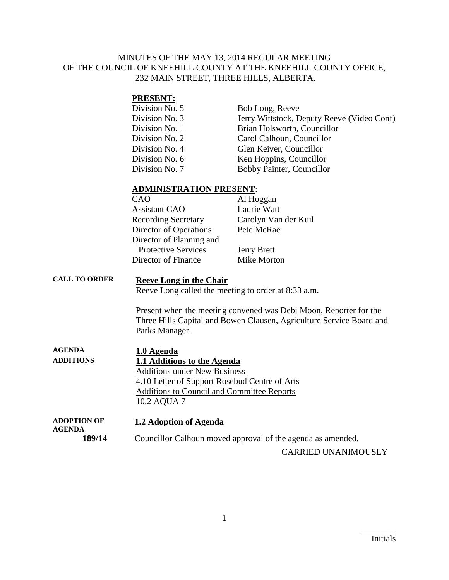#### MINUTES OF THE MAY 13, 2014 REGULAR MEETING OF THE COUNCIL OF KNEEHILL COUNTY AT THE KNEEHILL COUNTY OFFICE, 232 MAIN STREET, THREE HILLS, ALBERTA.

#### **PRESENT:**

| Division No. 5 | Bob Long, Reeve                            |
|----------------|--------------------------------------------|
| Division No. 3 | Jerry Wittstock, Deputy Reeve (Video Conf) |
| Division No. 1 | Brian Holsworth, Councillor                |
| Division No. 2 | Carol Calhoun, Councillor                  |
| Division No. 4 | Glen Keiver, Councillor                    |
| Division No. 6 | Ken Hoppins, Councillor                    |
| Division No. 7 | Bobby Painter, Councillor                  |

#### **ADMINISTRATION PRESENT**:

| CAO                        | Al Hoggan            |
|----------------------------|----------------------|
| <b>Assistant CAO</b>       | Laurie Watt          |
| <b>Recording Secretary</b> | Carolyn Van der Kuil |
| Director of Operations     | Pete McRae           |
| Director of Planning and   |                      |
| <b>Protective Services</b> | <b>Jerry Brett</b>   |
| Director of Finance        | Mike Morton          |

### **CALL TO ORDER Reeve Long in the Chair**

Reeve Long called the meeting to order at 8:33 a.m.

Present when the meeting convened was Debi Moon, Reporter for the Three Hills Capital and Bowen Clausen, Agriculture Service Board and Parks Manager.

| <b>AGENDA</b>    | 1.0 Agenda                                        |
|------------------|---------------------------------------------------|
| <b>ADDITIONS</b> | 1.1 Additions to the Agenda                       |
|                  | <b>Additions under New Business</b>               |
|                  | 4.10 Letter of Support Rosebud Centre of Arts     |
|                  | <b>Additions to Council and Committee Reports</b> |
|                  | 10.2 AQUA 7                                       |
|                  |                                                   |

**ADOPTION OF AGENDA 1.2 Adoption of Agenda 189/14** Councillor Calhoun moved approval of the agenda as amended.

CARRIED UNANIMOUSLY

 $\overline{\phantom{a}}$  . The set of the set of the set of the set of the set of the set of the set of the set of the set of the set of the set of the set of the set of the set of the set of the set of the set of the set of the set o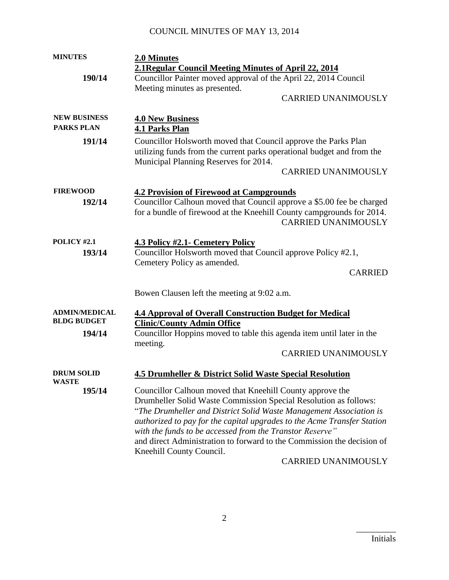| <b>MINUTES</b>                             | 2.0 Minutes                                                                                                                                                                                                                                                                                                                                                                                                                                                                    |
|--------------------------------------------|--------------------------------------------------------------------------------------------------------------------------------------------------------------------------------------------------------------------------------------------------------------------------------------------------------------------------------------------------------------------------------------------------------------------------------------------------------------------------------|
|                                            | 2.1 Regular Council Meeting Minutes of April 22, 2014                                                                                                                                                                                                                                                                                                                                                                                                                          |
| 190/14                                     | Councillor Painter moved approval of the April 22, 2014 Council                                                                                                                                                                                                                                                                                                                                                                                                                |
|                                            | Meeting minutes as presented.                                                                                                                                                                                                                                                                                                                                                                                                                                                  |
|                                            | <b>CARRIED UNANIMOUSLY</b>                                                                                                                                                                                                                                                                                                                                                                                                                                                     |
| <b>NEW BUSINESS</b>                        | <b>4.0 New Business</b>                                                                                                                                                                                                                                                                                                                                                                                                                                                        |
| <b>PARKS PLAN</b>                          | <b>4.1 Parks Plan</b>                                                                                                                                                                                                                                                                                                                                                                                                                                                          |
| 191/14                                     | Councillor Holsworth moved that Council approve the Parks Plan<br>utilizing funds from the current parks operational budget and from the<br>Municipal Planning Reserves for 2014.<br><b>CARRIED UNANIMOUSLY</b>                                                                                                                                                                                                                                                                |
| <b>FIREWOOD</b>                            | <b>4.2 Provision of Firewood at Campgrounds</b>                                                                                                                                                                                                                                                                                                                                                                                                                                |
| 192/14                                     | Councillor Calhoun moved that Council approve a \$5.00 fee be charged<br>for a bundle of firewood at the Kneehill County campgrounds for 2014.<br><b>CARRIED UNANIMOUSLY</b>                                                                                                                                                                                                                                                                                                   |
| <b>POLICY #2.1</b>                         | <b>4.3 Policy #2.1 - Cemetery Policy</b>                                                                                                                                                                                                                                                                                                                                                                                                                                       |
| 193/14                                     | Councillor Holsworth moved that Council approve Policy #2.1,                                                                                                                                                                                                                                                                                                                                                                                                                   |
|                                            | Cemetery Policy as amended.                                                                                                                                                                                                                                                                                                                                                                                                                                                    |
|                                            | <b>CARRIED</b>                                                                                                                                                                                                                                                                                                                                                                                                                                                                 |
|                                            | Bowen Clausen left the meeting at 9:02 a.m.                                                                                                                                                                                                                                                                                                                                                                                                                                    |
| <b>ADMIN/MEDICAL</b><br><b>BLDG BUDGET</b> | <b>4.4 Approval of Overall Construction Budget for Medical</b><br><b>Clinic/County Admin Office</b>                                                                                                                                                                                                                                                                                                                                                                            |
| 194/14                                     | Councillor Hoppins moved to table this agenda item until later in the<br>meeting.                                                                                                                                                                                                                                                                                                                                                                                              |
|                                            | <b>CARRIED UNANIMOUSLY</b>                                                                                                                                                                                                                                                                                                                                                                                                                                                     |
| <b>DRUM SOLID</b><br><b>WASTE</b>          | <b>4.5 Drumheller &amp; District Solid Waste Special Resolution</b>                                                                                                                                                                                                                                                                                                                                                                                                            |
| 195/14                                     | Councillor Calhoun moved that Kneehill County approve the<br>Drumheller Solid Waste Commission Special Resolution as follows:<br>"The Drumheller and District Solid Waste Management Association is<br>authorized to pay for the capital upgrades to the Acme Transfer Station<br>with the funds to be accessed from the Transtor Reserve"<br>and direct Administration to forward to the Commission the decision of<br>Kneehill County Council.<br><b>CARRIED UNANIMOUSLY</b> |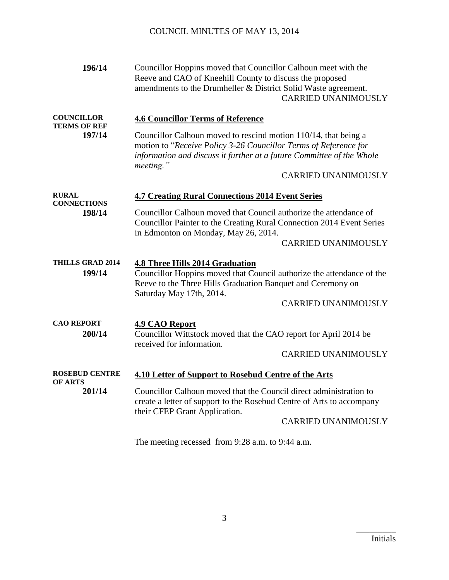| 196/14                                             | Councillor Hoppins moved that Councillor Calhoun meet with the<br>Reeve and CAO of Kneehill County to discuss the proposed<br>amendments to the Drumheller & District Solid Waste agreement.<br><b>CARRIED UNANIMOUSLY</b>                                                                          |
|----------------------------------------------------|-----------------------------------------------------------------------------------------------------------------------------------------------------------------------------------------------------------------------------------------------------------------------------------------------------|
| <b>COUNCILLOR</b><br><b>TERMS OF REF</b><br>197/14 | <b>4.6 Councillor Terms of Reference</b><br>Councillor Calhoun moved to rescind motion 110/14, that being a<br>motion to "Receive Policy 3-26 Councillor Terms of Reference for<br>information and discuss it further at a future Committee of the Whole<br>meeting."<br><b>CARRIED UNANIMOUSLY</b> |
| <b>RURAL</b><br><b>CONNECTIONS</b>                 | <b>4.7 Creating Rural Connections 2014 Event Series</b>                                                                                                                                                                                                                                             |
| 198/14                                             | Councillor Calhoun moved that Council authorize the attendance of<br>Councillor Painter to the Creating Rural Connection 2014 Event Series<br>in Edmonton on Monday, May 26, 2014.<br><b>CARRIED UNANIMOUSLY</b>                                                                                    |
| <b>THILLS GRAD 2014</b><br>199/14                  | <b>4.8 Three Hills 2014 Graduation</b><br>Councillor Hoppins moved that Council authorize the attendance of the<br>Reeve to the Three Hills Graduation Banquet and Ceremony on<br>Saturday May 17th, 2014.<br><b>CARRIED UNANIMOUSLY</b>                                                            |
| <b>CAO REPORT</b>                                  | <b>4.9 CAO Report</b>                                                                                                                                                                                                                                                                               |
| 200/14                                             | Councillor Wittstock moved that the CAO report for April 2014 be                                                                                                                                                                                                                                    |
|                                                    | received for information.<br><b>CARRIED UNANIMOUSLY</b>                                                                                                                                                                                                                                             |
| <b>ROSEBUD CENTRE</b><br><b>OF ARTS</b>            | <b>4.10 Letter of Support to Rosebud Centre of the Arts</b>                                                                                                                                                                                                                                         |
| 201/14                                             | Councillor Calhoun moved that the Council direct administration to<br>create a letter of support to the Rosebud Centre of Arts to accompany<br>their CFEP Grant Application.<br><b>CARRIED UNANIMOUSLY</b>                                                                                          |
|                                                    | The meeting recessed from 9:28 a.m. to 9:44 a.m.                                                                                                                                                                                                                                                    |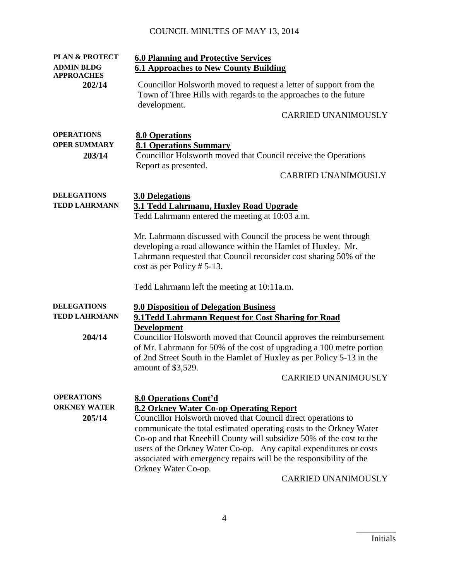| <b>PLAN &amp; PROTECT</b><br><b>ADMIN BLDG</b>     | <b>6.0 Planning and Protective Services</b><br><b>6.1 Approaches to New County Building</b>                                                                                                                                                                                                                                                                                                                                                                                              |
|----------------------------------------------------|------------------------------------------------------------------------------------------------------------------------------------------------------------------------------------------------------------------------------------------------------------------------------------------------------------------------------------------------------------------------------------------------------------------------------------------------------------------------------------------|
| <b>APPROACHES</b><br>202/14                        | Councillor Holsworth moved to request a letter of support from the<br>Town of Three Hills with regards to the approaches to the future<br>development.<br><b>CARRIED UNANIMOUSLY</b>                                                                                                                                                                                                                                                                                                     |
|                                                    |                                                                                                                                                                                                                                                                                                                                                                                                                                                                                          |
| <b>OPERATIONS</b><br><b>OPER SUMMARY</b><br>203/14 | <b>8.0 Operations</b><br><b>8.1 Operations Summary</b><br>Councillor Holsworth moved that Council receive the Operations<br>Report as presented.<br><b>CARRIED UNANIMOUSLY</b>                                                                                                                                                                                                                                                                                                           |
| <b>DELEGATIONS</b><br><b>TEDD LAHRMANN</b>         | <b>3.0 Delegations</b><br>3.1 Tedd Lahrmann, Huxley Road Upgrade<br>Tedd Lahrmann entered the meeting at 10:03 a.m.                                                                                                                                                                                                                                                                                                                                                                      |
|                                                    | Mr. Lahrmann discussed with Council the process he went through<br>developing a road allowance within the Hamlet of Huxley. Mr.<br>Lahrmann requested that Council reconsider cost sharing 50% of the<br>$cost$ as per Policy # 5-13.                                                                                                                                                                                                                                                    |
|                                                    | Tedd Lahrmann left the meeting at 10:11a.m.                                                                                                                                                                                                                                                                                                                                                                                                                                              |
| <b>DELEGATIONS</b><br><b>TEDD LAHRMANN</b>         | <b>9.0 Disposition of Delegation Business</b><br>9.1Tedd Lahrmann Request for Cost Sharing for Road<br><b>Development</b>                                                                                                                                                                                                                                                                                                                                                                |
| 204/14                                             | Councillor Holsworth moved that Council approves the reimbursement<br>of Mr. Lahrmann for 50% of the cost of upgrading a 100 metre portion<br>of 2nd Street South in the Hamlet of Huxley as per Policy 5-13 in the<br>amount of \$3,529.<br><b>CARRIED UNANIMOUSLY</b>                                                                                                                                                                                                                  |
|                                                    |                                                                                                                                                                                                                                                                                                                                                                                                                                                                                          |
| <b>OPERATIONS</b><br><b>ORKNEY WATER</b><br>205/14 | <b>8.0 Operations Cont'd</b><br>8.2 Orkney Water Co-op Operating Report<br>Councillor Holsworth moved that Council direct operations to<br>communicate the total estimated operating costs to the Orkney Water<br>Co-op and that Kneehill County will subsidize 50% of the cost to the<br>users of the Orkney Water Co-op. Any capital expenditures or costs<br>associated with emergency repairs will be the responsibility of the<br>Orkney Water Co-op.<br><b>CARRIED UNANIMOUSLY</b> |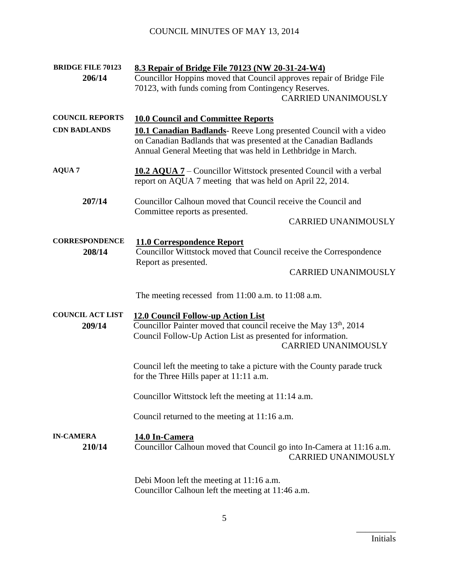| <b>BRIDGE FILE 70123</b><br>206/14            | 8.3 Repair of Bridge File 70123 (NW 20-31-24-W4)<br>Councillor Hoppins moved that Council approves repair of Bridge File<br>70123, with funds coming from Contingency Reserves.<br><b>CARRIED UNANIMOUSLY</b>                                                                                                         |
|-----------------------------------------------|-----------------------------------------------------------------------------------------------------------------------------------------------------------------------------------------------------------------------------------------------------------------------------------------------------------------------|
| <b>COUNCIL REPORTS</b><br><b>CDN BADLANDS</b> | <b>10.0 Council and Committee Reports</b><br><b>10.1 Canadian Badlands</b> - Reeve Long presented Council with a video<br>on Canadian Badlands that was presented at the Canadian Badlands<br>Annual General Meeting that was held in Lethbridge in March.                                                            |
| <b>AQUA 7</b>                                 | <b>10.2 AQUA 7</b> – Councillor Wittstock presented Council with a verbal<br>report on AQUA 7 meeting that was held on April 22, 2014.                                                                                                                                                                                |
| 207/14                                        | Councillor Calhoun moved that Council receive the Council and<br>Committee reports as presented.<br><b>CARRIED UNANIMOUSLY</b>                                                                                                                                                                                        |
| <b>CORRESPONDENCE</b><br>208/14               | 11.0 Correspondence Report<br>Councillor Wittstock moved that Council receive the Correspondence<br>Report as presented.<br><b>CARRIED UNANIMOUSLY</b>                                                                                                                                                                |
| <b>COUNCIL ACT LIST</b><br>209/14             | The meeting recessed from $11:00$ a.m. to $11:08$ a.m.<br>12.0 Council Follow-up Action List<br>Councillor Painter moved that council receive the May 13 <sup>th</sup> , 2014<br>Council Follow-Up Action List as presented for information.<br><b>CARRIED UNANIMOUSLY</b>                                            |
| <b>IN-CAMERA</b><br>210/14                    | Council left the meeting to take a picture with the County parade truck<br>for the Three Hills paper at 11:11 a.m.<br>Councillor Wittstock left the meeting at 11:14 a.m.<br>Council returned to the meeting at 11:16 a.m.<br>14.0 In-Camera<br>Councillor Calhoun moved that Council go into In-Camera at 11:16 a.m. |
|                                               | <b>CARRIED UNANIMOUSLY</b><br>Debi Moon left the meeting at 11:16 a.m.<br>Councillor Calhoun left the meeting at 11:46 a.m.                                                                                                                                                                                           |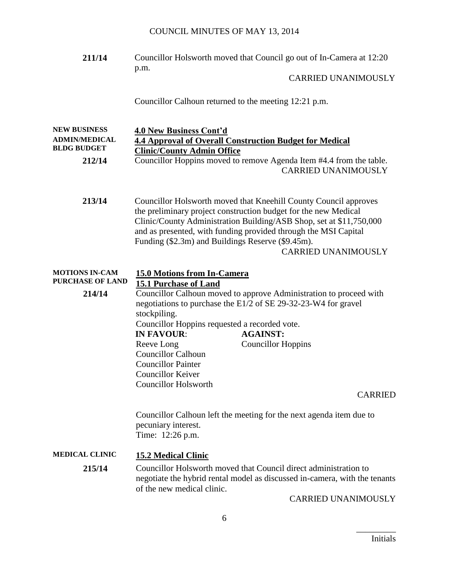| 211/14                                                                      | Councillor Holsworth moved that Council go out of In-Camera at 12:20<br>p.m.                                                                                                                                                                                                                                                                                     |
|-----------------------------------------------------------------------------|------------------------------------------------------------------------------------------------------------------------------------------------------------------------------------------------------------------------------------------------------------------------------------------------------------------------------------------------------------------|
|                                                                             | <b>CARRIED UNANIMOUSLY</b>                                                                                                                                                                                                                                                                                                                                       |
|                                                                             | Councillor Calhoun returned to the meeting 12:21 p.m.                                                                                                                                                                                                                                                                                                            |
| <b>NEW BUSINESS</b><br><b>ADMIN/MEDICAL</b><br><b>BLDG BUDGET</b><br>212/14 | 4.0 New Business Cont'd<br><b>4.4 Approval of Overall Construction Budget for Medical</b><br><b>Clinic/County Admin Office</b><br>Councillor Hoppins moved to remove Agenda Item #4.4 from the table.<br><b>CARRIED UNANIMOUSLY</b>                                                                                                                              |
| 213/14                                                                      | Councillor Holsworth moved that Kneehill County Council approves<br>the preliminary project construction budget for the new Medical<br>Clinic/County Administration Building/ASB Shop, set at \$11,750,000<br>and as presented, with funding provided through the MSI Capital<br>Funding (\$2.3m) and Buildings Reserve (\$9.45m).<br><b>CARRIED UNANIMOUSLY</b> |
| <b>MOTIONS IN-CAM</b><br><b>PURCHASE OF LAND</b>                            | <b>15.0 Motions from In-Camera</b><br><b>15.1 Purchase of Land</b>                                                                                                                                                                                                                                                                                               |
| 214/14                                                                      | Councillor Calhoun moved to approve Administration to proceed with<br>negotiations to purchase the E1/2 of SE 29-32-23-W4 for gravel<br>stockpiling.<br>Councillor Hoppins requested a recorded vote.                                                                                                                                                            |
|                                                                             | <b>IN FAVOUR:</b><br><b>AGAINST:</b>                                                                                                                                                                                                                                                                                                                             |
|                                                                             | Reeve Long<br><b>Councillor Hoppins</b><br><b>Councillor Calhoun</b><br><b>Councillor Painter</b><br><b>Councillor Keiver</b><br><b>Councillor Holsworth</b>                                                                                                                                                                                                     |
|                                                                             | <b>CARRIED</b>                                                                                                                                                                                                                                                                                                                                                   |
|                                                                             | Councillor Calhoun left the meeting for the next agenda item due to<br>pecuniary interest.<br>Time: 12:26 p.m.                                                                                                                                                                                                                                                   |
| <b>MEDICAL CLINIC</b>                                                       | <b>15.2 Medical Clinic</b>                                                                                                                                                                                                                                                                                                                                       |
| 215/14                                                                      | Councillor Holsworth moved that Council direct administration to<br>negotiate the hybrid rental model as discussed in-camera, with the tenants<br>of the new medical clinic.<br>CARRIED UNANIMOUSLY                                                                                                                                                              |